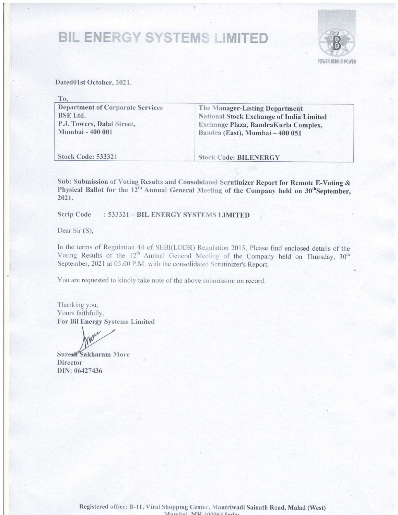# **BIL ENERGY SYSTEMS LIMITED**



Dated01st October, 2021.

| To,                                                                                                                 |                                                                                                                                                              |
|---------------------------------------------------------------------------------------------------------------------|--------------------------------------------------------------------------------------------------------------------------------------------------------------|
| <b>Department of Corporate Services</b><br><b>BSE</b> Ltd.<br>P.J. Towers, Dalal Street,<br><b>Mumbai - 400 001</b> | The Manager-Listing Department<br><b>National Stock Exchange of India Limited</b><br>Exchange Plaza, BandraKurla Complex,<br>Bandra (East), Mumbai - 400 051 |
| <b>Stock Code: 533321</b>                                                                                           | <b>Stock Code: BILENERGY</b>                                                                                                                                 |

Sub: Submission of Voting Results and Consolidated Scrutinizer Report for Remote E-Voting  $\&$ Physical Ballot for the 12<sup>th</sup> Annual General Meeting of the Company held on 30<sup>th</sup>September 2021.

Scrip Code : 533321 - BIL ENERGY SYSTEMS LIMITED

Dear Sir (S),

In the terms of Regulation 44 of SEBI(LODR) Regulation 2015, Please find enclosed details of the Voting Results of the  $12<sup>th</sup>$  Annual General Meeting of the Company held on Thursday, 30<sup>th</sup> September, 2021 at 05.00 P.M. with the consolidated Scrutinizer's Report.

You are requested to kindly take note of the above submission on record.

Thanking you, Yours faithfully, For Bil Energy Systems Limited

Surest Sakharam More **Director** DIN: 06427436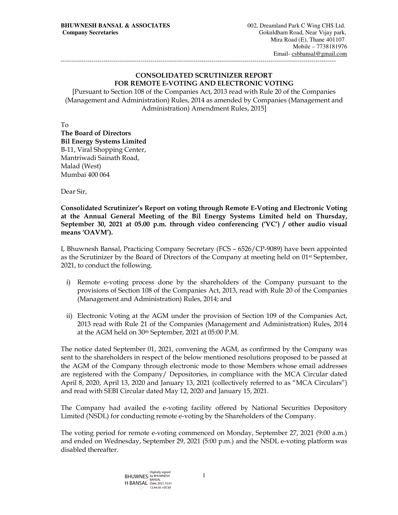## CONSOLIDATED SCRUTINIZER REPORT FOR REMOTE E-VOTING AND ELECTRONIC VOTING

---------------------------------------------------------------------------------------------------------------------------------------

[Pursuant to Section 108 of the Companies Act, 2013 read with Rule 20 of the Companies (Management and Administration) Rules, 2014 as amended by Companies (Management and Administration) Amendment Rules, 2015]

To

The Board of Directors Bil Energy Systems Limited B-11, Viral Shopping Center, Mantriwadi Sainath Road, Malad (West) Mumbai 400 064

Dear Sir,

Consolidated Scrutinizer's Report on voting through Remote E-Voting and Electronic Voting at the Annual General Meeting of the Bil Energy Systems Limited held on Thursday, September 30, 2021 at 05.00 p.m. through video conferencing ('VC') / other audio visual means 'OAVM').

I, Bhuwnesh Bansal, Practicing Company Secretary (FCS – 6526/CP-9089) have been appointed as the Scrutinizer by the Board of Directors of the Company at meeting held on 01<sup>st</sup> September, 2021, to conduct the following.

- i) Remote e-voting process done by the shareholders of the Company pursuant to the provisions of Section 108 of the Companies Act, 2013, read with Rule 20 of the Companies (Management and Administration) Rules, 2014; and
- ii) Electronic Voting at the AGM under the provision of Section 109 of the Companies Act, 2013 read with Rule 21 of the Companies (Management and Administration) Rules, 2014 at the AGM held on 30th September, 2021 at 05:00 P.M.

The notice dated September 01, 2021, convening the AGM, as confirmed by the Company was sent to the shareholders in respect of the below mentioned resolutions proposed to be passed at the AGM of the Company through electronic mode to those Members whose email addresses are registered with the Company/ Depositories, in compliance with the MCA Circular dated April 8, 2020, April 13, 2020 and January 13, 2021 (collectively referred to as "MCA Circulars") and read with SEBI Circular dated May 12, 2020 and January 15, 2021.

The Company had availed the e-voting facility offered by National Securities Depository Limited (NSDL) for conducting remote e-voting by the Shareholders of the Company.

The voting period for remote e-voting commenced on Monday, September 27, 2021 (9:00 a.m.) and ended on Wednesday, September 29, 2021 (5:00 p.m.) and the NSDL e-voting platform was disabled thereafter.

> BHUWNES by BHUWNESH H BANSAL Date: 2021.10.01 12:44:30 +05'30'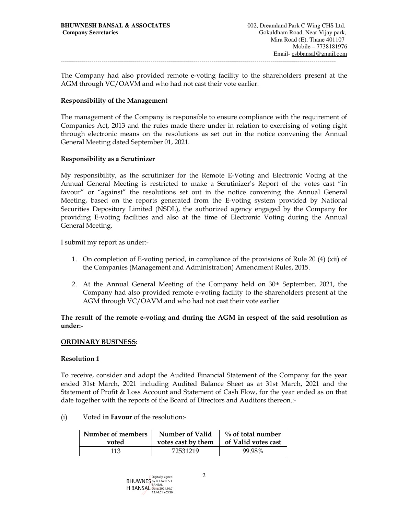The Company had also provided remote e-voting facility to the shareholders present at the AGM through VC/OAVM and who had not cast their vote earlier.

---------------------------------------------------------------------------------------------------------------------------------------

## Responsibility of the Management

The management of the Company is responsible to ensure compliance with the requirement of Companies Act, 2013 and the rules made there under in relation to exercising of voting right through electronic means on the resolutions as set out in the notice convening the Annual General Meeting dated September 01, 2021.

## Responsibility as a Scrutinizer

My responsibility, as the scrutinizer for the Remote E-Voting and Electronic Voting at the Annual General Meeting is restricted to make a Scrutinizer's Report of the votes cast "in favour" or "against" the resolutions set out in the notice convening the Annual General Meeting, based on the reports generated from the E-voting system provided by National Securities Depository Limited (NSDL), the authorized agency engaged by the Company for providing E-voting facilities and also at the time of Electronic Voting during the Annual General Meeting.

I submit my report as under:-

- 1. On completion of E-voting period, in compliance of the provisions of Rule 20 (4) (xii) of the Companies (Management and Administration) Amendment Rules, 2015.
- 2. At the Annual General Meeting of the Company held on 30th September, 2021, the Company had also provided remote e-voting facility to the shareholders present at the AGM through VC/OAVM and who had not cast their vote earlier

## The result of the remote e-voting and during the AGM in respect of the said resolution as under:-

## ORDINARY BUSINESS:

## Resolution 1

To receive, consider and adopt the Audited Financial Statement of the Company for the year ended 31st March, 2021 including Audited Balance Sheet as at 31st March, 2021 and the Statement of Profit & Loss Account and Statement of Cash Flow, for the year ended as on that date together with the reports of the Board of Directors and Auditors thereon.:-

(i) Voted in Favour of the resolution:-

| Number of members | Number of Valid    | $\%$ of total number |
|-------------------|--------------------|----------------------|
| voted             | votes cast by them | of Valid votes cast  |
| 113               | 72531219           | 99.98%               |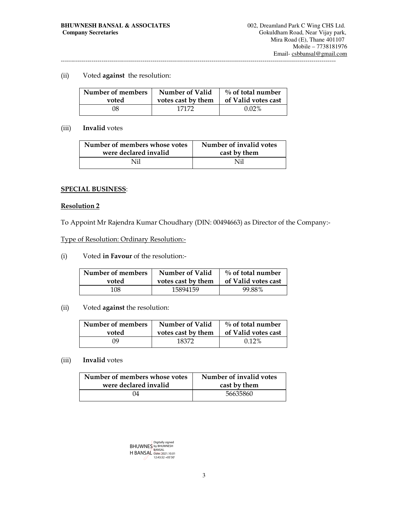## (ii) Voted against the resolution:

| Number of members | Number of Valid    | $\%$ of total number |
|-------------------|--------------------|----------------------|
| voted             | votes cast by them | of Valid votes cast  |
| 38                | 17172              | $0.02\%$             |

## (iii) Invalid votes

| Number of members whose votes | Number of invalid votes |
|-------------------------------|-------------------------|
| were declared invalid         | cast by them            |
| Ni1                           | Nil                     |

## SPECIAL BUSINESS:

## Resolution 2

To Appoint Mr Rajendra Kumar Choudhary (DIN: 00494663) as Director of the Company:-

## Type of Resolution: Ordinary Resolution:-

(i) Voted in Favour of the resolution:-

| Number of members | Number of Valid    | $\%$ of total number |
|-------------------|--------------------|----------------------|
| voted             | votes cast by them | of Valid votes cast  |
| 108               | 15894159           | 99.88%               |

## (ii) Voted against the resolution:

| Number of members | Number of Valid    | $\%$ of total number |
|-------------------|--------------------|----------------------|
| voted             | votes cast by them | of Valid votes cast  |
| ΩO                | 18372              | $0.12\%$             |

## (iii) Invalid votes

| Number of members whose votes | Number of invalid votes |
|-------------------------------|-------------------------|
| were declared invalid         | cast by them            |
| 74                            | 56635860                |

BHUWNES H BANSAL Digitally signed by BHUWNESH BANSAL Date: 2021.10.01 12:43:32 +05'30'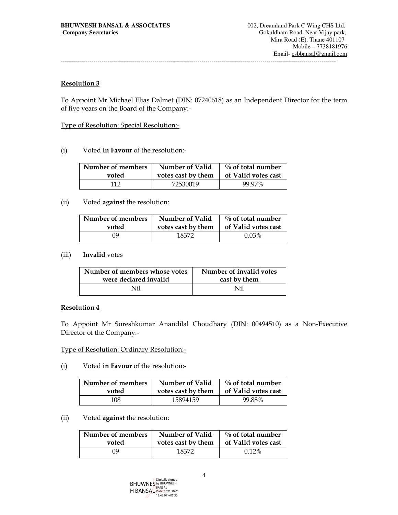---------------------------------------------------------------------------------------------------------------------------------------

## Resolution 3

To Appoint Mr Michael Elias Dalmet (DIN: 07240618) as an Independent Director for the term of five years on the Board of the Company:-

Type of Resolution: Special Resolution:-

(i) Voted in Favour of the resolution:-

| Number of members | Number of Valid    | $\%$ of total number |
|-------------------|--------------------|----------------------|
| voted             | votes cast by them | of Valid votes cast  |
| 112               | 72530019           | 99.97%               |

## (ii) Voted against the resolution:

| Number of members | <b>Number of Valid</b> | $\%$ of total number |
|-------------------|------------------------|----------------------|
| voted             | votes cast by them     | of Valid votes cast  |
| NQ                | 18372                  | $0.03\%$             |

## (iii) Invalid votes

| Number of members whose votes | Number of invalid votes |
|-------------------------------|-------------------------|
| were declared invalid         | cast by them            |
| Nil                           | Ni1                     |

## Resolution 4

To Appoint Mr Sureshkumar Anandilal Choudhary (DIN: 00494510) as a Non-Executive Director of the Company:-

Type of Resolution: Ordinary Resolution:-

(i) Voted in Favour of the resolution:-

| Number of members | Number of Valid    | $\%$ of total number |
|-------------------|--------------------|----------------------|
| voted             | votes cast by them | of Valid votes cast  |
| 108               | 15894159           | 99.88%               |

## (ii) Voted against the resolution:

| Number of members | <b>Number of Valid</b> | $\%$ of total number |
|-------------------|------------------------|----------------------|
| voted             | votes cast by them     | of Valid votes cast  |
| NQ                | 18372                  | $0.12\%$             |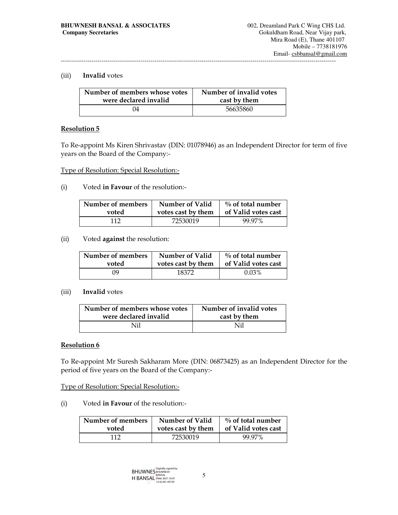## (iii) Invalid votes

| Number of members whose votes | Number of invalid votes |  |
|-------------------------------|-------------------------|--|
| were declared invalid         | cast by them            |  |
| 04                            | 56635860                |  |

## Resolution 5

To Re-appoint Ms Kiren Shrivastav (DIN: 01078946) as an Independent Director for term of five years on the Board of the Company:-

Type of Resolution: Special Resolution:-

(i) Voted in Favour of the resolution:-

| Number of members | Number of Valid    | $\%$ of total number |
|-------------------|--------------------|----------------------|
| voted             | votes cast by them | of Valid votes cast  |
| 112               | 72530019           | 99.97%               |

(ii) Voted against the resolution:

| Number of members | Number of Valid    | $\%$ of total number |
|-------------------|--------------------|----------------------|
| voted             | votes cast by them | of Valid votes cast  |
| NQ                | 18372              | $0.03\%$             |

#### (iii) Invalid votes

| Number of members whose votes | Number of invalid votes |  |
|-------------------------------|-------------------------|--|
| were declared invalid         | cast by them            |  |
| Ni1                           | Nil                     |  |

## Resolution 6

To Re-appoint Mr Suresh Sakharam More (DIN: 06873425) as an Independent Director for the period of five years on the Board of the Company:-

## Type of Resolution: Special Resolution:-

(i) Voted in Favour of the resolution:-

| Number of members | <b>Number of Valid</b> | $\%$ of total number |
|-------------------|------------------------|----------------------|
| voted             | votes cast by them     | of Valid votes cast  |
| 117               | 72530019               | 99.97%               |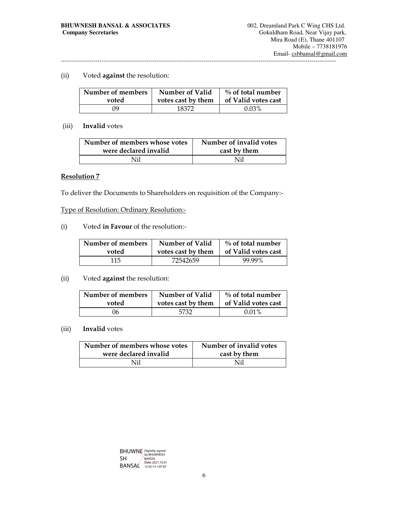## (ii) Voted against the resolution:

| Number of members | Number of Valid    | $\%$ of total number |
|-------------------|--------------------|----------------------|
| voted             | votes cast by them | of Valid votes cast  |
| NQ                | 18372              | $0.03\%$             |

## (iii) Invalid votes

| Number of members whose votes | Number of invalid votes |  |
|-------------------------------|-------------------------|--|
| were declared invalid         | cast by them            |  |
| Nil                           | Nil                     |  |

## Resolution 7

To deliver the Documents to Shareholders on requisition of the Company:-

Type of Resolution: Ordinary Resolution:-

(i) Voted in Favour of the resolution:-

| Number of members | Number of Valid    | $\%$ of total number |
|-------------------|--------------------|----------------------|
| voted             | votes cast by them | of Valid votes cast  |
| 115.              | 72542659           | 99.99%               |

## (ii) Voted against the resolution:

| Number of members | Number of Valid    | $\%$ of total number |
|-------------------|--------------------|----------------------|
| voted             | votes cast by them | of Valid votes cast  |
| 06                | 5732               | $0.01\%$             |

## (iii) Invalid votes

| Number of members whose votes | Number of invalid votes |  |
|-------------------------------|-------------------------|--|
| were declared invalid         | cast by them            |  |
| Nil                           | Nil                     |  |

| <b>BHUWNE</b> Digitally signed |                                         |
|--------------------------------|-----------------------------------------|
| SH                             | <b>BANSAL</b>                           |
| <b>BANSAL</b>                  | Date: 2021.10.01<br>$12:42:14 + 05'30'$ |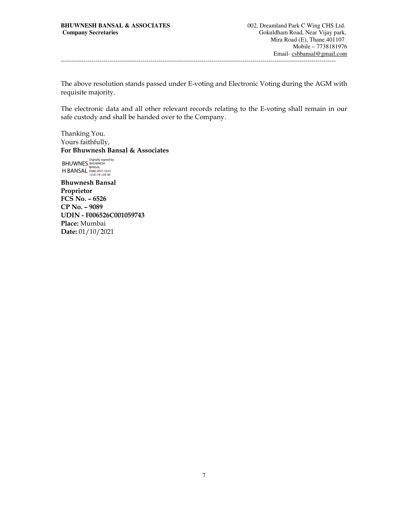The above resolution stands passed under E-voting and Electronic Voting during the AGM with requisite majority.

The electronic data and all other relevant records relating to the E-voting shall remain in our safe custody and shall be handed over to the Company.

Thanking You. Yours faithfully, For Bhuwnesh Bansal & Associates

BHUWNES H BANSAL Digitally signed by BHUWNESH BANSAL Date: 2021.10.01 12:41:19 +05'30'

Bhuwnesh Bansal Proprietor FCS No. – 6526 CP No. – 9089 UDIN - F006526C001059743 Place: Mumbai Date: 01/10/2021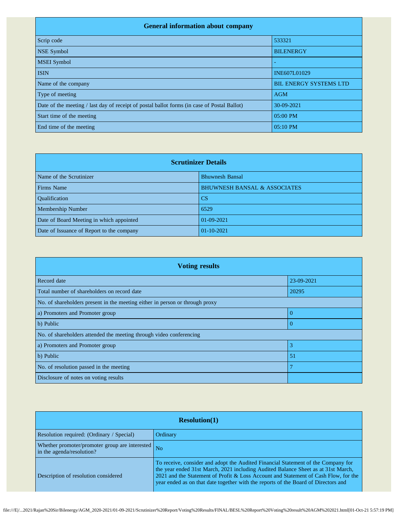| <b>General information about company</b>                                                    |                               |  |
|---------------------------------------------------------------------------------------------|-------------------------------|--|
| Scrip code                                                                                  | 533321                        |  |
| <b>NSE Symbol</b>                                                                           | <b>BILENERGY</b>              |  |
| <b>MSEI</b> Symbol                                                                          |                               |  |
| <b>ISIN</b>                                                                                 | <b>INE607L01029</b>           |  |
| Name of the company                                                                         | <b>BIL ENERGY SYSTEMS LTD</b> |  |
| Type of meeting                                                                             | <b>AGM</b>                    |  |
| Date of the meeting / last day of receipt of postal ballot forms (in case of Postal Ballot) | 30-09-2021                    |  |
| Start time of the meeting                                                                   | 05:00 PM                      |  |
| End time of the meeting                                                                     | 05:10 PM                      |  |

| <b>Scrutinizer Details</b>                |                                         |  |  |  |  |  |
|-------------------------------------------|-----------------------------------------|--|--|--|--|--|
| Name of the Scrutinizer                   | <b>Bhuwnesh Bansal</b>                  |  |  |  |  |  |
| Firms Name                                | <b>BHUWNESH BANSAL &amp; ASSOCIATES</b> |  |  |  |  |  |
| <b>Oualification</b>                      | <b>CS</b>                               |  |  |  |  |  |
| Membership Number                         | 6529                                    |  |  |  |  |  |
| Date of Board Meeting in which appointed  | $01-09-2021$                            |  |  |  |  |  |
| Date of Issuance of Report to the company | $01-10-2021$                            |  |  |  |  |  |

| <b>Voting results</b>                                                        |                |  |  |  |  |  |
|------------------------------------------------------------------------------|----------------|--|--|--|--|--|
| Record date                                                                  | 23-09-2021     |  |  |  |  |  |
| Total number of shareholders on record date                                  | 20295          |  |  |  |  |  |
| No. of shareholders present in the meeting either in person or through proxy |                |  |  |  |  |  |
| a) Promoters and Promoter group                                              | $\Omega$       |  |  |  |  |  |
| b) Public                                                                    |                |  |  |  |  |  |
| No. of shareholders attended the meeting through video conferencing          |                |  |  |  |  |  |
| a) Promoters and Promoter group                                              | 3              |  |  |  |  |  |
| b) Public                                                                    | 5 <sup>°</sup> |  |  |  |  |  |
| No. of resolution passed in the meeting                                      |                |  |  |  |  |  |
| Disclosure of notes on voting results                                        |                |  |  |  |  |  |

| Resolution(1)                                                               |                                                                                                                                                                                                                                                                                                                                                     |  |  |  |  |
|-----------------------------------------------------------------------------|-----------------------------------------------------------------------------------------------------------------------------------------------------------------------------------------------------------------------------------------------------------------------------------------------------------------------------------------------------|--|--|--|--|
| Resolution required: (Ordinary / Special)                                   | Ordinary                                                                                                                                                                                                                                                                                                                                            |  |  |  |  |
| Whether promoter/promoter group are interested<br>in the agenda/resolution? | N <sub>o</sub>                                                                                                                                                                                                                                                                                                                                      |  |  |  |  |
| Description of resolution considered                                        | To receive, consider and adopt the Audited Financial Statement of the Company for<br>the year ended 31st March, 2021 including Audited Balance Sheet as at 31st March,<br>2021 and the Statement of Profit & Loss Account and Statement of Cash Flow, for the<br>year ended as on that date together with the reports of the Board of Directors and |  |  |  |  |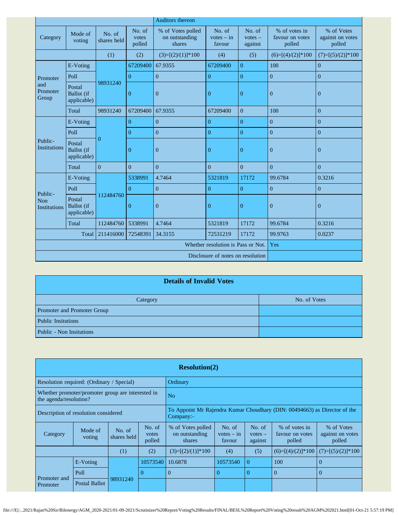|                                       |                                            |                       |                           | Auditors thereon                              |                                  |                                |                                            |                                          |
|---------------------------------------|--------------------------------------------|-----------------------|---------------------------|-----------------------------------------------|----------------------------------|--------------------------------|--------------------------------------------|------------------------------------------|
| Category                              | Mode of<br>voting                          | No. of<br>shares held | No. of<br>votes<br>polled | % of Votes polled<br>on outstanding<br>shares | No. of<br>$votes - in$<br>favour | No. of<br>$votes -$<br>against | % of votes in<br>favour on votes<br>polled | % of Votes<br>against on votes<br>polled |
|                                       |                                            | (1)                   | (2)                       | $(3)=[(2)/(1)]*100$                           | (4)                              | (5)                            | $(6)=[(4)/(2)]*100$                        | $(7)=[(5)/(2)]*100$                      |
|                                       | E-Voting                                   |                       | 67209400                  | 67.9355                                       | 67209400                         | $\overline{0}$                 | 100                                        | $\overline{0}$                           |
| Promoter                              | Poll                                       |                       | $\overline{0}$            | $\overline{0}$                                | $\overline{0}$                   | $\boldsymbol{0}$               | $\boldsymbol{0}$                           | $\overline{0}$                           |
| and<br>Promoter<br>Group              | Postal<br>Ballot (if<br>applicable)        | 98931240              | $\mathbf{0}$              | $\boldsymbol{0}$                              | $\mathbf{0}$                     | $\overline{0}$                 | $\mathbf{0}$                               | $\boldsymbol{0}$                         |
|                                       | Total                                      | 98931240              | 67209400                  | 67.9355                                       | 67209400                         | $\overline{0}$                 | 100                                        | $\overline{0}$                           |
|                                       | E-Voting                                   |                       | $\overline{0}$            | $\overline{0}$                                | $\overline{0}$                   | $\overline{0}$                 | $\mathbf{0}$                               | $\overline{0}$                           |
| Public-<br>Institutions               | Poll                                       |                       | $\overline{0}$            | $\boldsymbol{0}$                              | $\overline{0}$                   | $\boldsymbol{0}$               | $\boldsymbol{0}$                           | $\mathbf{0}$                             |
|                                       | Postal<br><b>Ballot</b> (if<br>applicable) | $\Omega$              | $\overline{0}$            | $\boldsymbol{0}$                              | $\theta$                         | $\boldsymbol{0}$               | $\mathbf{0}$                               | $\boldsymbol{0}$                         |
|                                       | Total                                      | $\Omega$              | $\overline{0}$            | $\overline{0}$                                | $\overline{0}$                   | $\overline{0}$                 | $\mathbf{0}$                               | $\overline{0}$                           |
|                                       | E-Voting                                   |                       | 5338991                   | 4.7464                                        | 5321819                          | 17172                          | 99.6784                                    | 0.3216                                   |
|                                       | Poll                                       |                       | $\overline{0}$            | $\boldsymbol{0}$                              | $\overline{0}$                   | $\overline{0}$                 | $\boldsymbol{0}$                           | $\overline{0}$                           |
| Public-<br>Non<br><b>Institutions</b> | Postal<br>Ballot (if<br>applicable)        | 112484760             | $\boldsymbol{0}$          | $\mathbf{0}$                                  | $\boldsymbol{0}$                 | $\boldsymbol{0}$               | $\mathbf{0}$                               | $\boldsymbol{0}$                         |
|                                       | Total                                      | 112484760             | 5338991                   | 4.7464                                        | 5321819                          | 17172                          | 99.6784                                    | 0.3216                                   |
|                                       | Total                                      | 211416000             | 72548391                  | 34.3155                                       | 72531219                         | 17172                          | 99.9763                                    | 0.0237                                   |
| Whether resolution is Pass or Not.    |                                            |                       |                           |                                               |                                  |                                | Yes                                        |                                          |
| Disclosure of notes on resolution     |                                            |                       |                           |                                               |                                  |                                |                                            |                                          |

| <b>Details of Invalid Votes</b> |              |  |  |  |  |  |
|---------------------------------|--------------|--|--|--|--|--|
| Category                        | No. of Votes |  |  |  |  |  |
| Promoter and Promoter Group     |              |  |  |  |  |  |
| <b>Public Insitutions</b>       |              |  |  |  |  |  |
| <b>Public - Non Insitutions</b> |              |  |  |  |  |  |

| <b>Resolution(2)</b>                                                        |                                           |                       |                           |                                                                           |                                  |                                |                                            |                                          |
|-----------------------------------------------------------------------------|-------------------------------------------|-----------------------|---------------------------|---------------------------------------------------------------------------|----------------------------------|--------------------------------|--------------------------------------------|------------------------------------------|
|                                                                             | Resolution required: (Ordinary / Special) |                       |                           | Ordinary                                                                  |                                  |                                |                                            |                                          |
| Whether promoter/promoter group are interested in<br>the agenda/resolution? |                                           |                       |                           | N <sub>o</sub>                                                            |                                  |                                |                                            |                                          |
| Description of resolution considered                                        |                                           |                       | Company:-                 | To Appoint Mr Rajendra Kumar Choudhary (DIN: 00494663) as Director of the |                                  |                                |                                            |                                          |
| Category                                                                    | Mode of<br>voting                         | No. of<br>shares held | No. of<br>votes<br>polled | % of Votes polled<br>on outstanding<br>shares                             | No. of<br>$votes - in$<br>favour | No. of<br>$votes -$<br>against | % of votes in<br>favour on votes<br>polled | % of Votes<br>against on votes<br>polled |
|                                                                             |                                           | (1)                   | (2)                       | $(3)=[(2)/(1)]*100$                                                       | (4)                              | (5)                            | $(6)=[(4)/(2)]*100$                        | $(7)=[(5)/(2)]*100$                      |
|                                                                             | E-Voting                                  |                       | 10573540                  | 10.6878                                                                   | 10573540                         | $\Omega$                       | 100                                        | $\Omega$                                 |
| Promoter and                                                                | Poll                                      |                       | $\Omega$                  | $\Omega$                                                                  | $\theta$                         | $\Omega$                       | $\overline{0}$                             | $\Omega$                                 |
| Promoter                                                                    | Postal Ballot                             | 98931240              |                           |                                                                           |                                  |                                |                                            |                                          |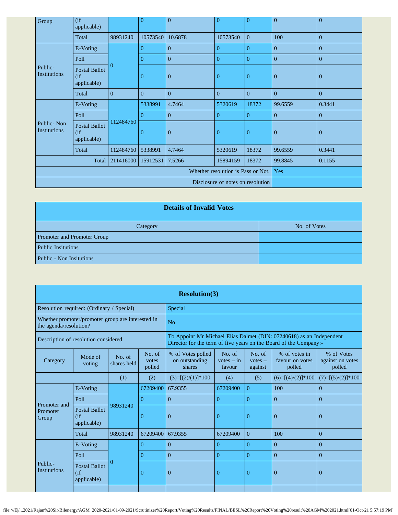| Group                                    | $($ if<br>applicable)                       |           | $\overline{0}$ | $\boldsymbol{0}$ | $\overline{0}$ | $\overline{0}$ | $\mathbf{0}$   | $\mathbf{0}$   |
|------------------------------------------|---------------------------------------------|-----------|----------------|------------------|----------------|----------------|----------------|----------------|
|                                          | Total                                       | 98931240  | 10573540       | 10.6878          | 10573540       | $\overline{0}$ | 100            | $\overline{0}$ |
|                                          | E-Voting                                    |           | $\Omega$       | $\overline{0}$   | $\theta$       | $\Omega$       | $\overline{0}$ | $\mathbf{0}$   |
|                                          | Poll                                        |           | $\Omega$       | $\overline{0}$   | $\overline{0}$ | $\overline{0}$ | $\Omega$       | $\overline{0}$ |
| Public-<br><b>Institutions</b>           | <b>Postal Ballot</b><br>(if)<br>applicable) | $\Omega$  | $\overline{0}$ | $\mathbf{0}$     | $\theta$       | $\overline{0}$ | $\mathbf{0}$   | $\overline{0}$ |
|                                          | Total                                       | $\Omega$  | $\overline{0}$ | $\boldsymbol{0}$ | $\mathbf{0}$   | $\mathbf{0}$   | $\overline{0}$ | $\overline{0}$ |
|                                          | E-Voting                                    |           | 5338991        | 4.7464           | 5320619        | 18372          | 99.6559        | 0.3441         |
|                                          | Poll                                        |           | $\Omega$       | $\overline{0}$   | $\Omega$       | $\Omega$       | $\Omega$       | $\mathbf{0}$   |
| Public-Non<br>Institutions               | <b>Postal Ballot</b><br>(if)<br>applicable) | 112484760 | $\overline{0}$ | $\mathbf{0}$     | $\theta$       | $\overline{0}$ | $\mathbf{0}$   | $\mathbf{0}$   |
|                                          | Total                                       | 112484760 | 5338991        | 4.7464           | 5320619        | 18372          | 99.6559        | 0.3441         |
| 211416000<br>7.5266<br>15912531<br>Total |                                             |           |                |                  | 15894159       | 18372          | 99.8845        | 0.1155         |
| Whether resolution is Pass or Not.       |                                             |           |                |                  |                |                | Yes            |                |
| Disclosure of notes on resolution        |                                             |           |                |                  |                |                |                |                |

| <b>Details of Invalid Votes</b> |              |  |  |  |  |
|---------------------------------|--------------|--|--|--|--|
| Category                        | No. of Votes |  |  |  |  |
| Promoter and Promoter Group     |              |  |  |  |  |
| <b>Public Insitutions</b>       |              |  |  |  |  |
| Public - Non Insitutions        |              |  |  |  |  |

| <b>Resolution(3)</b>                                                        |                                             |                       |                                                                                                                                           |                                               |                                  |                                |                                            |                                          |
|-----------------------------------------------------------------------------|---------------------------------------------|-----------------------|-------------------------------------------------------------------------------------------------------------------------------------------|-----------------------------------------------|----------------------------------|--------------------------------|--------------------------------------------|------------------------------------------|
| Resolution required: (Ordinary / Special)                                   |                                             |                       |                                                                                                                                           | Special                                       |                                  |                                |                                            |                                          |
| Whether promoter/promoter group are interested in<br>the agenda/resolution? |                                             |                       | No                                                                                                                                        |                                               |                                  |                                |                                            |                                          |
| Description of resolution considered                                        |                                             |                       | To Appoint Mr Michael Elias Dalmet (DIN: 07240618) as an Independent<br>Director for the term of five years on the Board of the Company:- |                                               |                                  |                                |                                            |                                          |
| Category                                                                    | Mode of<br>voting                           | No. of<br>shares held | No. of<br>votes<br>polled                                                                                                                 | % of Votes polled<br>on outstanding<br>shares | No. of<br>$votes - in$<br>favour | No. of<br>$votes -$<br>against | % of votes in<br>favour on votes<br>polled | % of Votes<br>against on votes<br>polled |
| (1)<br>(2)                                                                  |                                             |                       | $(3)=[(2)/(1)]*100$                                                                                                                       | (4)                                           | (5)                              | $(6)=[(4)/(2)]*100$            | $(7)=[(5)/(2)]*100$                        |                                          |
|                                                                             | E-Voting                                    |                       | 67209400                                                                                                                                  | 67.9355                                       | 67209400                         | $\overline{0}$                 | 100                                        | $\mathbf{0}$                             |
|                                                                             | Poll                                        |                       | $\Omega$                                                                                                                                  | $\Omega$                                      | $\theta$                         | $\Omega$                       | $\Omega$                                   | $\Omega$                                 |
| Promoter and<br>Promoter<br>Group                                           | <b>Postal Ballot</b><br>(f)<br>applicable)  | 98931240              | $\theta$                                                                                                                                  | $\theta$                                      | $\Omega$                         | $\overline{0}$                 | $\Omega$                                   | $\overline{0}$                           |
|                                                                             | Total                                       | 98931240              | 67209400                                                                                                                                  | 67.9355                                       | 67209400                         | $\Omega$                       | 100                                        | $\Omega$                                 |
|                                                                             | E-Voting                                    |                       | $\Omega$                                                                                                                                  | $\Omega$                                      | $\Omega$                         | $\Omega$                       | $\Omega$                                   | $\mathbf{0}$                             |
|                                                                             | Poll                                        |                       | $\Omega$                                                                                                                                  | $\Omega$                                      | $\theta$                         | $\Omega$                       | $\Omega$                                   | $\Omega$                                 |
| Public-<br><b>Institutions</b>                                              | <b>Postal Ballot</b><br>(if)<br>applicable) | 0                     | $\Omega$                                                                                                                                  | $\overline{0}$                                | $\Omega$                         | $\overline{0}$                 | $\Omega$                                   | $\Omega$                                 |
|                                                                             |                                             |                       |                                                                                                                                           |                                               |                                  |                                |                                            |                                          |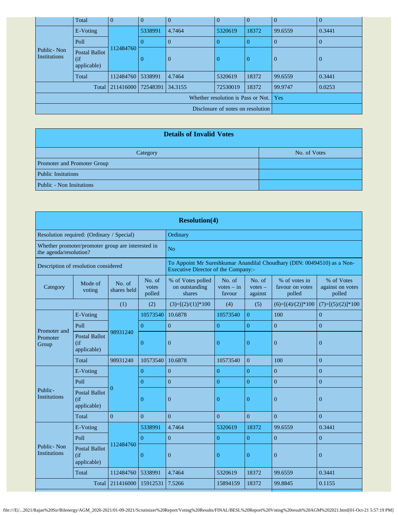|                                         | Total                                       | $\Omega$          | $\Omega$ | $\overline{0}$ | $\theta$ | $\Omega$       | $\overline{0}$ | $\Omega$ |
|-----------------------------------------|---------------------------------------------|-------------------|----------|----------------|----------|----------------|----------------|----------|
|                                         | E-Voting                                    |                   | 5338991  | 4.7464         | 5320619  | 18372          | 99.6559        | 0.3441   |
|                                         | Poll                                        |                   |          | $\overline{0}$ |          | $\Omega$       | $\Omega$       | $\theta$ |
| Public - Non<br><b>Institutions</b>     | <b>Postal Ballot</b><br>(if)<br>applicable) | 112484760         | $\theta$ | $\mathbf{0}$   | $\Omega$ | $\overline{0}$ | $\theta$       | $\theta$ |
|                                         | Total                                       | 112484760 5338991 |          | 4.7464         | 5320619  | 18372          | 99.6559        | 0.3441   |
| 211416000   72548391   34.3155<br>Total |                                             |                   |          |                | 72530019 | 18372          | 99.9747        | 0.0253   |
|                                         |                                             | Yes               |          |                |          |                |                |          |
| Disclosure of notes on resolution       |                                             |                   |          |                |          |                |                |          |

| <b>Details of Invalid Votes</b> |              |  |  |  |  |  |
|---------------------------------|--------------|--|--|--|--|--|
| Category                        | No. of Votes |  |  |  |  |  |
| Promoter and Promoter Group     |              |  |  |  |  |  |
| <b>Public Insitutions</b>       |              |  |  |  |  |  |
| Public - Non Insitutions        |              |  |  |  |  |  |

| <b>Resolution(4)</b>                                                        |                                               |                       |                           |                                                                                                                |                                  |                                |                                            |                                          |
|-----------------------------------------------------------------------------|-----------------------------------------------|-----------------------|---------------------------|----------------------------------------------------------------------------------------------------------------|----------------------------------|--------------------------------|--------------------------------------------|------------------------------------------|
| Resolution required: (Ordinary / Special)                                   |                                               |                       |                           | Ordinary                                                                                                       |                                  |                                |                                            |                                          |
| Whether promoter/promoter group are interested in<br>the agenda/resolution? |                                               |                       |                           | No                                                                                                             |                                  |                                |                                            |                                          |
| Description of resolution considered                                        |                                               |                       |                           | To Appoint Mr Sureshkumar Anandilal Choudhary (DIN: 00494510) as a Non-<br>Executive Director of the Company:- |                                  |                                |                                            |                                          |
| Category                                                                    | Mode of<br>voting                             | No. of<br>shares held | No. of<br>votes<br>polled | % of Votes polled<br>on outstanding<br>shares                                                                  | No. of<br>$votes - in$<br>favour | No. of<br>$votes -$<br>against | % of votes in<br>favour on votes<br>polled | % of Votes<br>against on votes<br>polled |
|                                                                             |                                               | (1)                   | (2)                       | $(3)=[(2)/(1)]*100$                                                                                            | (4)                              | (5)                            | $(6)=[(4)/(2)]*100$                        | $(7)=[(5)/(2)]*100$                      |
|                                                                             | E-Voting                                      |                       | 10573540                  | 10.6878                                                                                                        | 10573540                         | $\overline{0}$                 | 100                                        | $\overline{0}$                           |
|                                                                             | Poll                                          |                       | $\overline{0}$            | $\overline{0}$                                                                                                 | $\overline{0}$                   | $\overline{0}$                 | $\overline{0}$                             | $\overline{0}$                           |
| Promoter and<br>Promoter<br>Group                                           | <b>Postal Ballot</b><br>(if)<br>applicable)   | 98931240              | $\overline{0}$            | $\overline{0}$                                                                                                 | $\overline{0}$                   | $\theta$                       | $\overline{0}$                             | $\Omega$                                 |
|                                                                             | Total                                         | 98931240              | 10573540                  | 10.6878                                                                                                        | 10573540                         | $\Omega$                       | 100                                        | $\theta$                                 |
|                                                                             | E-Voting                                      |                       | $\overline{0}$            | $\theta$                                                                                                       | $\theta$                         | $\Omega$                       | $\theta$                                   | $\theta$                                 |
|                                                                             | Poll                                          |                       | $\overline{0}$            | $\overline{0}$                                                                                                 | $\overline{0}$                   | $\overline{0}$                 | $\overline{0}$                             | $\overline{0}$                           |
| Public-<br>Institutions                                                     | <b>Postal Ballot</b><br>(if)<br>applicable)   | $\Omega$              | $\theta$                  | $\theta$                                                                                                       | $\Omega$                         | $\theta$                       | $\Omega$                                   | $\Omega$                                 |
|                                                                             | <b>Total</b>                                  | $\Omega$              | $\Omega$                  | $\overline{0}$                                                                                                 | $\Omega$                         | $\overline{0}$                 | $\theta$                                   | $\theta$                                 |
|                                                                             | E-Voting                                      |                       | 5338991                   | 4.7464                                                                                                         | 5320619                          | 18372                          | 99.6559                                    | 0.3441                                   |
|                                                                             | Poll                                          |                       | $\overline{0}$            | $\overline{0}$                                                                                                 | $\overline{0}$                   | $\overline{0}$                 | $\overline{0}$                             | $\overline{0}$                           |
| Public-Non<br>Institutions                                                  | <b>Postal Ballot</b><br>$($ if<br>applicable) | 112484760             | $\theta$                  | $\overline{0}$                                                                                                 | $\overline{0}$                   | $\theta$                       | $\overline{0}$                             | $\overline{0}$                           |
|                                                                             | Total                                         | 112484760             | 5338991                   | 4.7464                                                                                                         | 5320619                          | 18372                          | 99.6559                                    | 0.3441                                   |
|                                                                             | Total                                         | 211416000             | 15912531                  | 7.5266                                                                                                         | 15894159                         | 18372                          | 99.8845                                    | 0.1155                                   |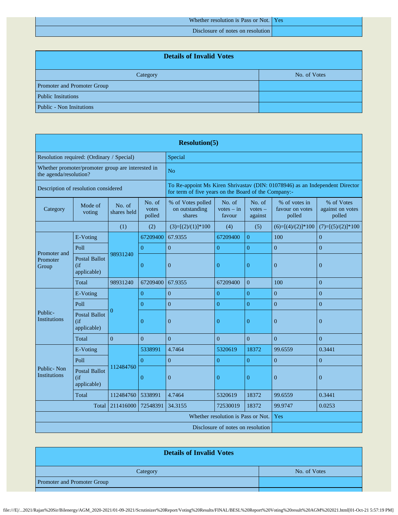Whether resolution is Pass or Not. Yes

Disclosure of notes on resolution

| <b>Details of Invalid Votes</b> |  |  |  |  |  |  |  |
|---------------------------------|--|--|--|--|--|--|--|
| No. of Votes<br>Category        |  |  |  |  |  |  |  |
| Promoter and Promoter Group     |  |  |  |  |  |  |  |
| <b>Public Insitutions</b>       |  |  |  |  |  |  |  |
| <b>Public - Non Insitutions</b> |  |  |  |  |  |  |  |

| <b>Resolution(5)</b>                                                        |                                              |                       |                           |                                                                                                                                      |                                    |                                |                                            |                                          |
|-----------------------------------------------------------------------------|----------------------------------------------|-----------------------|---------------------------|--------------------------------------------------------------------------------------------------------------------------------------|------------------------------------|--------------------------------|--------------------------------------------|------------------------------------------|
| Resolution required: (Ordinary / Special)                                   |                                              |                       | Special                   |                                                                                                                                      |                                    |                                |                                            |                                          |
| Whether promoter/promoter group are interested in<br>the agenda/resolution? |                                              |                       |                           | N <sub>o</sub>                                                                                                                       |                                    |                                |                                            |                                          |
| Description of resolution considered                                        |                                              |                       |                           | To Re-appoint Ms Kiren Shrivastav (DIN: 01078946) as an Independent Director<br>for term of five years on the Board of the Company:- |                                    |                                |                                            |                                          |
| Category                                                                    | Mode of<br>voting                            | No. of<br>shares held | No. of<br>votes<br>polled | % of Votes polled<br>on outstanding<br>shares                                                                                        | No. of<br>$votes - in$<br>favour   | No. of<br>$votes -$<br>against | % of votes in<br>favour on votes<br>polled | % of Votes<br>against on votes<br>polled |
|                                                                             |                                              | (1)                   | (2)                       | $(3)=[(2)/(1)]*100$                                                                                                                  | (4)                                | (5)                            | $(6)=[(4)/(2)]*100$                        | $(7)=[(5)/(2)]*100$                      |
|                                                                             | E-Voting                                     |                       | 67209400                  | 67.9355                                                                                                                              | 67209400                           | $\overline{0}$                 | 100                                        | $\boldsymbol{0}$                         |
|                                                                             | Poll                                         |                       | $\overline{0}$            | $\overline{0}$                                                                                                                       | $\overline{0}$                     | $\overline{0}$                 | $\overline{0}$                             | $\overline{0}$                           |
| Promoter and<br>Promoter<br>Group                                           | <b>Postal Ballot</b><br>(if)<br>applicable)  | 98931240              | $\overline{0}$            | $\boldsymbol{0}$                                                                                                                     | $\mathbf{0}$                       | $\overline{0}$                 | $\overline{0}$                             | $\mathbf{0}$                             |
|                                                                             | Total                                        | 98931240              | 67209400                  | 67.9355                                                                                                                              | 67209400                           | $\overline{0}$                 | 100                                        | $\overline{0}$                           |
|                                                                             | E-Voting                                     | $\Omega$              | $\overline{0}$            | $\overline{0}$                                                                                                                       | $\boldsymbol{0}$                   | $\overline{0}$                 | $\overline{0}$                             | $\overline{0}$                           |
|                                                                             | Poll                                         |                       | $\overline{0}$            | $\overline{0}$                                                                                                                       | $\overline{0}$                     | $\overline{0}$                 | $\overline{0}$                             | $\overline{0}$                           |
| Public-<br><b>Institutions</b>                                              | <b>Postal Ballot</b><br>(f)<br>applicable)   |                       | $\overline{0}$            | $\boldsymbol{0}$                                                                                                                     | $\mathbf{0}$                       | $\overline{0}$                 | $\overline{0}$                             | $\mathbf{0}$                             |
|                                                                             | Total                                        | $\theta$              | $\overline{0}$            | $\overline{0}$                                                                                                                       | $\mathbf{0}$                       | $\overline{0}$                 | $\overline{0}$                             | $\overline{0}$                           |
|                                                                             | E-Voting                                     |                       | 5338991                   | 4.7464                                                                                                                               | 5320619                            | 18372                          | 99.6559                                    | 0.3441                                   |
| Public-Non<br><b>Institutions</b>                                           | Poll                                         |                       | $\overline{0}$            | $\mathbf{0}$                                                                                                                         | $\overline{0}$                     | $\overline{0}$                 | $\overline{0}$                             | $\overline{0}$                           |
|                                                                             | <b>Postal Ballot</b><br>(i f)<br>applicable) | 112484760             | $\overline{0}$            | $\boldsymbol{0}$                                                                                                                     | $\boldsymbol{0}$                   | $\boldsymbol{0}$               | $\mathbf{0}$                               | $\mathbf{0}$                             |
|                                                                             | Total                                        | 112484760             | 5338991                   | 4.7464                                                                                                                               | 5320619                            | 18372                          | 99.6559                                    | 0.3441                                   |
| Total<br>211416000<br>72548391                                              |                                              |                       | 34.3155                   | 72530019                                                                                                                             | 18372                              | 99.9747                        | 0.0253                                     |                                          |
|                                                                             |                                              |                       |                           |                                                                                                                                      | Whether resolution is Pass or Not. |                                | Yes                                        |                                          |
|                                                                             |                                              |                       |                           |                                                                                                                                      | Disclosure of notes on resolution  |                                |                                            |                                          |

| <b>Details of Invalid Votes</b>    |  |  |  |  |  |  |
|------------------------------------|--|--|--|--|--|--|
| No. of Votes<br>Category           |  |  |  |  |  |  |
| <b>Promoter and Promoter Group</b> |  |  |  |  |  |  |
|                                    |  |  |  |  |  |  |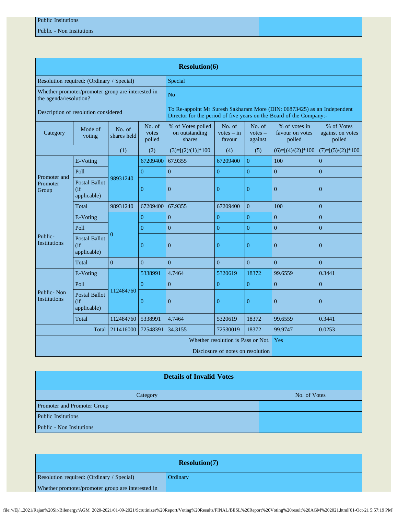| <b>Public Insitutions</b> |  |
|---------------------------|--|
| Public - Non Insitutions  |  |

| <b>Resolution(6)</b>                                                        |                                              |                       |                           |                                                                                                                                                |                                           |                                |                                            |                                          |  |
|-----------------------------------------------------------------------------|----------------------------------------------|-----------------------|---------------------------|------------------------------------------------------------------------------------------------------------------------------------------------|-------------------------------------------|--------------------------------|--------------------------------------------|------------------------------------------|--|
| Resolution required: (Ordinary / Special)                                   |                                              |                       | Special                   |                                                                                                                                                |                                           |                                |                                            |                                          |  |
| Whether promoter/promoter group are interested in<br>the agenda/resolution? |                                              |                       |                           | N <sub>o</sub>                                                                                                                                 |                                           |                                |                                            |                                          |  |
| Description of resolution considered                                        |                                              |                       |                           | To Re-appoint Mr Suresh Sakharam More (DIN: 06873425) as an Independent<br>Director for the period of five years on the Board of the Company:- |                                           |                                |                                            |                                          |  |
| Category                                                                    | Mode of<br>voting                            | No. of<br>shares held | No. of<br>votes<br>polled | % of Votes polled<br>on outstanding<br>shares                                                                                                  | No. of<br>$votes - in$<br>favour          | No. of<br>$votes -$<br>against | % of votes in<br>favour on votes<br>polled | % of Votes<br>against on votes<br>polled |  |
|                                                                             |                                              | (1)                   | (2)                       | $(3)=[(2)/(1)]*100$                                                                                                                            | (4)                                       | (5)                            | $(6)=[(4)/(2)]*100$                        | $(7)=[(5)/(2)]*100$                      |  |
|                                                                             | E-Voting                                     |                       | 67209400                  | 67.9355                                                                                                                                        | 67209400                                  | $\overline{0}$                 | 100                                        | $\mathbf{0}$                             |  |
|                                                                             | Poll                                         |                       | $\Omega$                  | $\overline{0}$                                                                                                                                 | $\overline{0}$                            | $\overline{0}$                 | $\overline{0}$                             | $\overline{0}$                           |  |
| Promoter and<br>Promoter<br>Group                                           | <b>Postal Ballot</b><br>(if<br>applicable)   | 98931240              | $\overline{0}$            | $\overline{0}$                                                                                                                                 | $\overline{0}$                            | $\overline{0}$                 | $\overline{0}$                             | $\overline{0}$                           |  |
|                                                                             | Total                                        | 98931240              | 67209400                  | 67.9355                                                                                                                                        | 67209400                                  | $\overline{0}$                 | 100                                        | $\boldsymbol{0}$                         |  |
|                                                                             | E-Voting                                     | 0                     | $\overline{0}$            | $\boldsymbol{0}$                                                                                                                               | $\boldsymbol{0}$                          | $\boldsymbol{0}$               | $\boldsymbol{0}$                           | $\overline{0}$                           |  |
|                                                                             | Poll                                         |                       | $\Omega$                  | $\overline{0}$                                                                                                                                 | $\theta$                                  | $\overline{0}$                 | $\overline{0}$                             | $\overline{0}$                           |  |
| Public-<br><b>Institutions</b>                                              | <b>Postal Ballot</b><br>(if)<br>applicable)  |                       | $\overline{0}$            | $\mathbf{0}$                                                                                                                                   | $\mathbf{0}$                              | $\overline{0}$                 | $\overline{0}$                             | $\mathbf{0}$                             |  |
|                                                                             | Total                                        | $\theta$              | $\Omega$                  | $\overline{0}$                                                                                                                                 | $\overline{0}$                            | $\overline{0}$                 | $\overline{0}$                             | $\overline{0}$                           |  |
|                                                                             | E-Voting                                     |                       | 5338991                   | 4.7464                                                                                                                                         | 5320619                                   | 18372                          | 99.6559                                    | 0.3441                                   |  |
|                                                                             | Poll                                         |                       | $\Omega$                  | $\overline{0}$                                                                                                                                 | $\overline{0}$                            | $\overline{0}$                 | $\overline{0}$                             | $\overline{0}$                           |  |
| Public-Non<br><b>Institutions</b>                                           | <b>Postal Ballot</b><br>(i f)<br>applicable) | 112484760             | $\Omega$                  | $\overline{0}$                                                                                                                                 | $\overline{0}$                            | $\theta$                       | $\mathbf{0}$                               | $\overline{0}$                           |  |
|                                                                             | Total                                        | 112484760             | 5338991                   | 4.7464                                                                                                                                         | 5320619                                   | 18372                          | 99.6559                                    | 0.3441                                   |  |
| Total<br>211416000<br>72548391                                              |                                              |                       | 34.3155                   | 72530019                                                                                                                                       | 18372                                     | 99.9747                        | 0.0253                                     |                                          |  |
|                                                                             |                                              |                       |                           |                                                                                                                                                | Yes<br>Whether resolution is Pass or Not. |                                |                                            |                                          |  |
| Disclosure of notes on resolution                                           |                                              |                       |                           |                                                                                                                                                |                                           |                                |                                            |                                          |  |

| <b>Details of Invalid Votes</b> |              |  |  |  |  |  |
|---------------------------------|--------------|--|--|--|--|--|
| Category                        | No. of Votes |  |  |  |  |  |
| Promoter and Promoter Group     |              |  |  |  |  |  |
| <b>Public Insitutions</b>       |              |  |  |  |  |  |
| Public - Non Insitutions        |              |  |  |  |  |  |

| <b>Resolution(7)</b>                              |          |  |  |  |  |
|---------------------------------------------------|----------|--|--|--|--|
| Resolution required: (Ordinary / Special)         | Ordinarv |  |  |  |  |
| Whether promoter/promoter group are interested in |          |  |  |  |  |